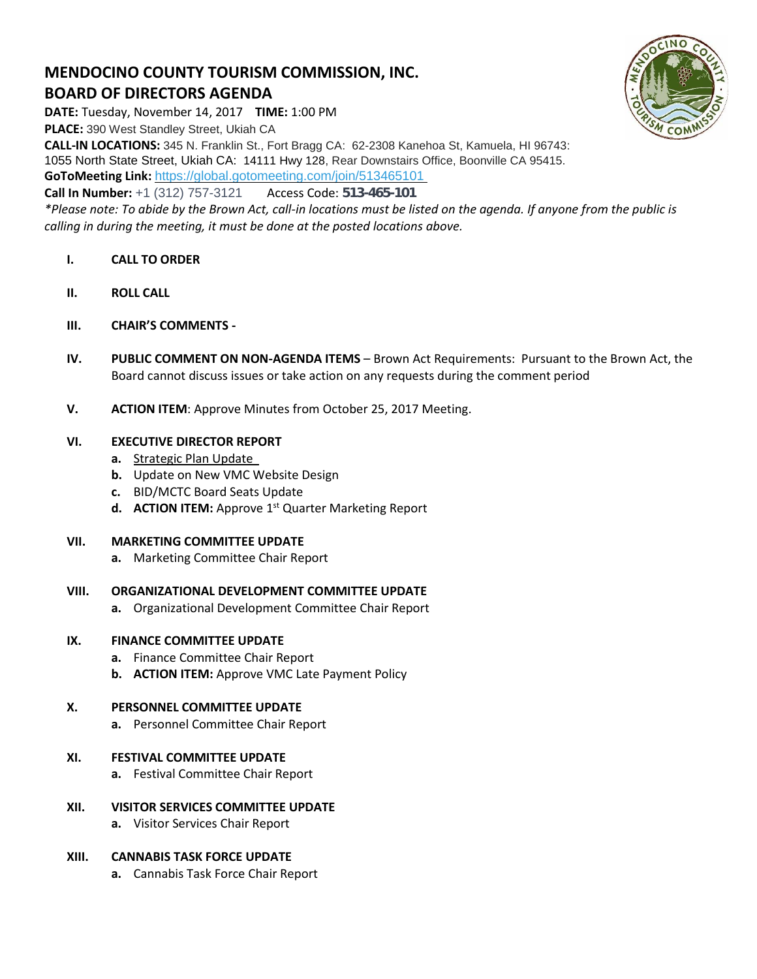# **MENDOCINO COUNTY TOURISM COMMISSION, INC. BOARD OF DIRECTORS AGENDA**



**DATE:** Tuesday, November 14, 2017 **TIME:** 1:00 PM **PLACE:** 390 West Standley Street, Ukiah CA **CALL-IN LOCATIONS:** 345 N. Franklin St., Fort Bragg CA: 62-2308 Kanehoa St, Kamuela, HI 96743: 1055 North State Street, Ukiah CA: 14111 Hwy 128, Rear Downstairs Office, Boonville CA 95415. **GoToMeeting Link:** <https://global.gotomeeting.com/join/513465101> **Call In Number:** +1 (312) 757-3121 Access Code: 513-465-101

*\*Please note: To abide by the Brown Act, call-in locations must be listed on the agenda. If anyone from the public is calling in during the meeting, it must be done at the posted locations above.*

- **I. CALL TO ORDER**
- **II. ROLL CALL**
- **III. CHAIR'S COMMENTS -**
- **IV. PUBLIC COMMENT ON NON-AGENDA ITEMS** Brown Act Requirements: Pursuant to the Brown Act, the Board cannot discuss issues or take action on any requests during the comment period
- **V. ACTION ITEM**: Approve Minutes from October 25, 2017 Meeting.

### **VI. EXECUTIVE DIRECTOR REPORT**

- **a.** [Strategic Plan Update](https://trello.com/b/fPWrmc5Z)
- **b.** Update on New VMC Website Design
- **c.** BID/MCTC Board Seats Update
- **d. ACTION ITEM:** Approve 1<sup>st</sup> Quarter Marketing Report

#### **VII. MARKETING COMMITTEE UPDATE**

**a.** Marketing Committee Chair Report

#### **VIII. ORGANIZATIONAL DEVELOPMENT COMMITTEE UPDATE**

**a.** Organizational Development Committee Chair Report

## **IX. FINANCE COMMITTEE UPDATE**

- **a.** Finance Committee Chair Report
- **b. ACTION ITEM:** Approve VMC Late Payment Policy

# **X. PERSONNEL COMMITTEE UPDATE**

**a.** Personnel Committee Chair Report

# **XI. FESTIVAL COMMITTEE UPDATE**

- **a.** Festival Committee Chair Report
- **XII. VISITOR SERVICES COMMITTEE UPDATE**
	- **a.** Visitor Services Chair Report

# **XIII. CANNABIS TASK FORCE UPDATE**

**a.** Cannabis Task Force Chair Report